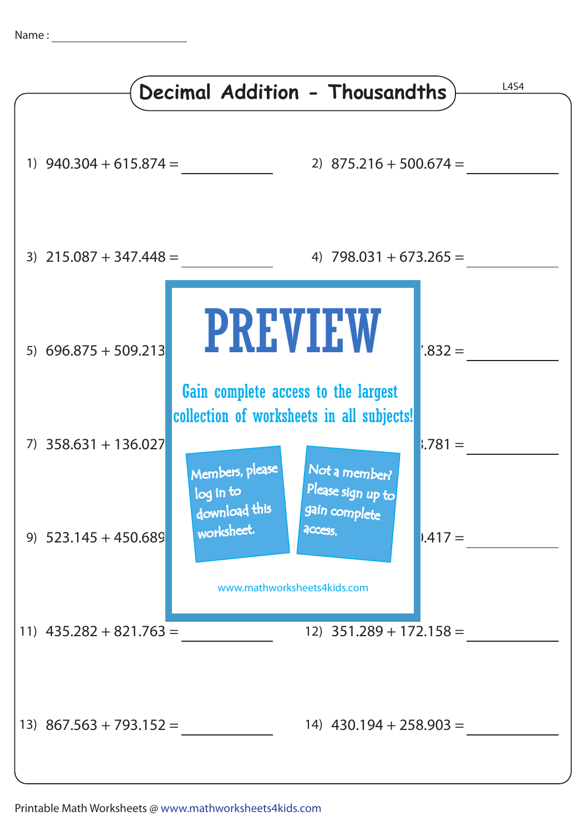